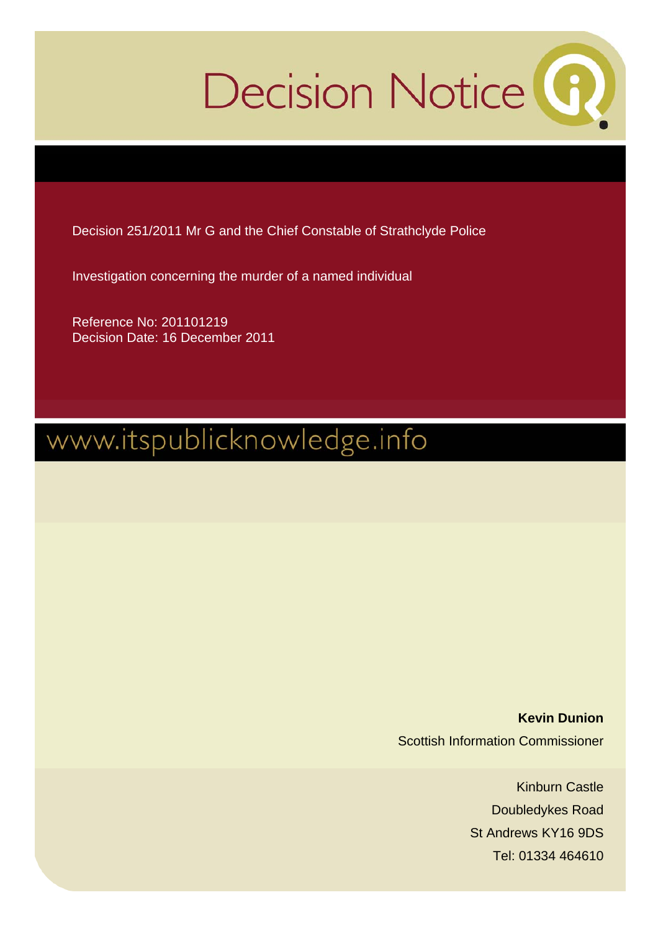# Decision Notice<sup>(6)</sup>

Decision 251/2011 Mr G and the Chief Constable of Strathclyde Police

Investigation concerning the murder of a named individual

Reference No: 201101219 Decision Date: 16 December 2011

# www.itspublicknowledge.info

**Kevin Dunion**  Scottish Information Commissioner

> Kinburn Castle Doubledykes Road St Andrews KY16 9DS Tel: 01334 464610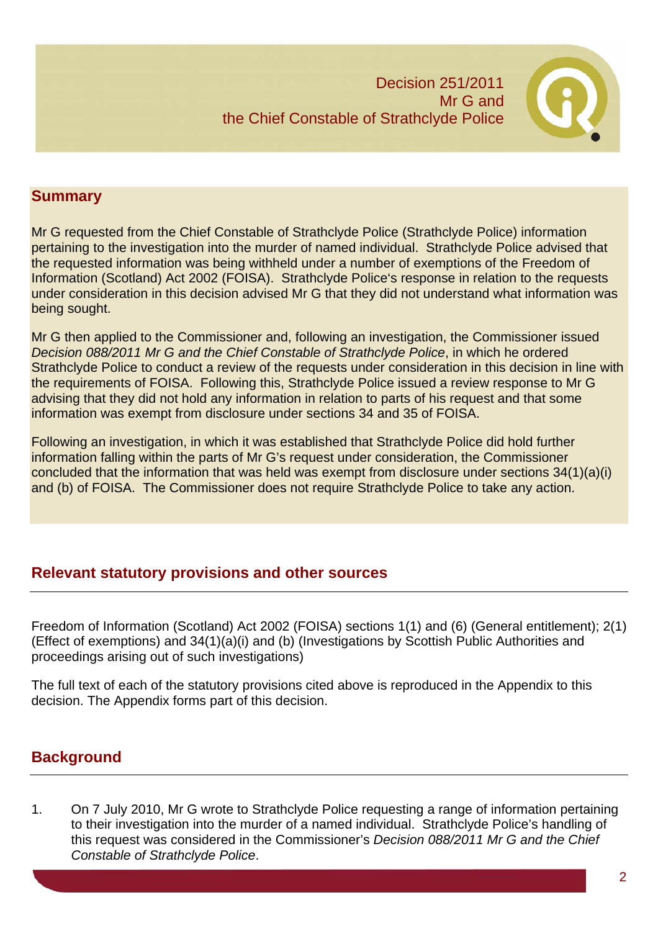

# **Summary**

Mr G requested from the Chief Constable of Strathclyde Police (Strathclyde Police) information pertaining to the investigation into the murder of named individual. Strathclyde Police advised that the requested information was being withheld under a number of exemptions of the Freedom of Information (Scotland) Act 2002 (FOISA). Strathclyde Police's response in relation to the requests under consideration in this decision advised Mr G that they did not understand what information was being sought.

Mr G then applied to the Commissioner and, following an investigation, the Commissioner issued *Decision 088/2011 Mr G and the Chief Constable of Strathclyde Police*, in which he ordered Strathclyde Police to conduct a review of the requests under consideration in this decision in line with the requirements of FOISA. Following this, Strathclyde Police issued a review response to Mr G advising that they did not hold any information in relation to parts of his request and that some information was exempt from disclosure under sections 34 and 35 of FOISA.

Following an investigation, in which it was established that Strathclyde Police did hold further information falling within the parts of Mr G's request under consideration, the Commissioner concluded that the information that was held was exempt from disclosure under sections 34(1)(a)(i) and (b) of FOISA. The Commissioner does not require Strathclyde Police to take any action.

# **Relevant statutory provisions and other sources**

Freedom of Information (Scotland) Act 2002 (FOISA) sections 1(1) and (6) (General entitlement); 2(1) (Effect of exemptions) and 34(1)(a)(i) and (b) (Investigations by Scottish Public Authorities and proceedings arising out of such investigations)

The full text of each of the statutory provisions cited above is reproduced in the Appendix to this decision. The Appendix forms part of this decision.

# **Background**

1. On 7 July 2010, Mr G wrote to Strathclyde Police requesting a range of information pertaining to their investigation into the murder of a named individual. Strathclyde Police's handling of this request was considered in the Commissioner's *Decision 088/2011 Mr G and the Chief Constable of Strathclyde Police*.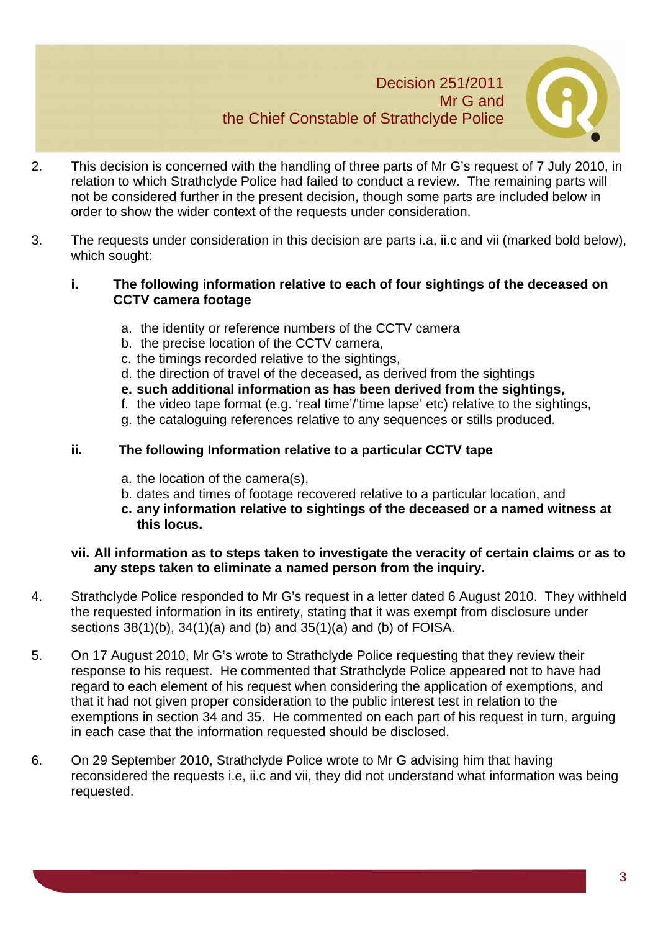

- 2. This decision is concerned with the handling of three parts of Mr G's request of 7 July 2010, in relation to which Strathclyde Police had failed to conduct a review. The remaining parts will not be considered further in the present decision, though some parts are included below in order to show the wider context of the requests under consideration.
- 3. The requests under consideration in this decision are parts i.a, ii.c and vii (marked bold below), which sought:

#### **i. The following information relative to each of four sightings of the deceased on CCTV camera footage**

- a. the identity or reference numbers of the CCTV camera
- b. the precise location of the CCTV camera,
- c. the timings recorded relative to the sightings,
- d. the direction of travel of the deceased, as derived from the sightings
- **e. such additional information as has been derived from the sightings,**
- f. the video tape format (e.g. 'real time'/'time lapse' etc) relative to the sightings,
- g. the cataloguing references relative to any sequences or stills produced.

#### **ii. The following Information relative to a particular CCTV tape**

- a. the location of the camera(s),
- b. dates and times of footage recovered relative to a particular location, and
- **c. any information relative to sightings of the deceased or a named witness at this locus.**

#### **vii. All information as to steps taken to investigate the veracity of certain claims or as to any steps taken to eliminate a named person from the inquiry.**

- 4. Strathclyde Police responded to Mr G's request in a letter dated 6 August 2010. They withheld the requested information in its entirety, stating that it was exempt from disclosure under sections 38(1)(b), 34(1)(a) and (b) and 35(1)(a) and (b) of FOISA.
- 5. On 17 August 2010, Mr G's wrote to Strathclyde Police requesting that they review their response to his request. He commented that Strathclyde Police appeared not to have had regard to each element of his request when considering the application of exemptions, and that it had not given proper consideration to the public interest test in relation to the exemptions in section 34 and 35. He commented on each part of his request in turn, arguing in each case that the information requested should be disclosed.
- 6. On 29 September 2010, Strathclyde Police wrote to Mr G advising him that having reconsidered the requests i.e, ii.c and vii, they did not understand what information was being requested.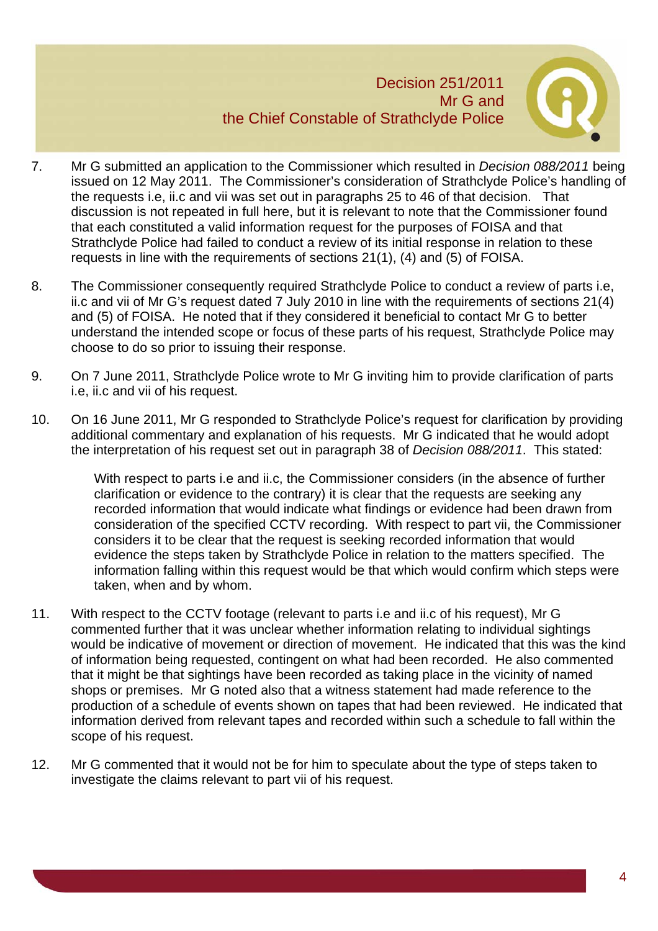

- 7. Mr G submitted an application to the Commissioner which resulted in *Decision 088/2011* being issued on 12 May 2011. The Commissioner's consideration of Strathclyde Police's handling of the requests i.e, ii.c and vii was set out in paragraphs 25 to 46 of that decision. That discussion is not repeated in full here, but it is relevant to note that the Commissioner found that each constituted a valid information request for the purposes of FOISA and that Strathclyde Police had failed to conduct a review of its initial response in relation to these requests in line with the requirements of sections 21(1), (4) and (5) of FOISA.
- 8. The Commissioner consequently required Strathclyde Police to conduct a review of parts i.e, ii.c and vii of Mr G's request dated 7 July 2010 in line with the requirements of sections 21(4) and (5) of FOISA. He noted that if they considered it beneficial to contact Mr G to better understand the intended scope or focus of these parts of his request, Strathclyde Police may choose to do so prior to issuing their response.
- 9. On 7 June 2011, Strathclyde Police wrote to Mr G inviting him to provide clarification of parts i.e, ii.c and vii of his request.
- 10. On 16 June 2011, Mr G responded to Strathclyde Police's request for clarification by providing additional commentary and explanation of his requests. Mr G indicated that he would adopt the interpretation of his request set out in paragraph 38 of *Decision 088/2011*. This stated:

With respect to parts i.e and ii.c, the Commissioner considers (in the absence of further clarification or evidence to the contrary) it is clear that the requests are seeking any recorded information that would indicate what findings or evidence had been drawn from consideration of the specified CCTV recording. With respect to part vii, the Commissioner considers it to be clear that the request is seeking recorded information that would evidence the steps taken by Strathclyde Police in relation to the matters specified. The information falling within this request would be that which would confirm which steps were taken, when and by whom.

- 11. With respect to the CCTV footage (relevant to parts i.e and ii.c of his request), Mr G commented further that it was unclear whether information relating to individual sightings would be indicative of movement or direction of movement. He indicated that this was the kind of information being requested, contingent on what had been recorded. He also commented that it might be that sightings have been recorded as taking place in the vicinity of named shops or premises. Mr G noted also that a witness statement had made reference to the production of a schedule of events shown on tapes that had been reviewed. He indicated that information derived from relevant tapes and recorded within such a schedule to fall within the scope of his request.
- 12. Mr G commented that it would not be for him to speculate about the type of steps taken to investigate the claims relevant to part vii of his request.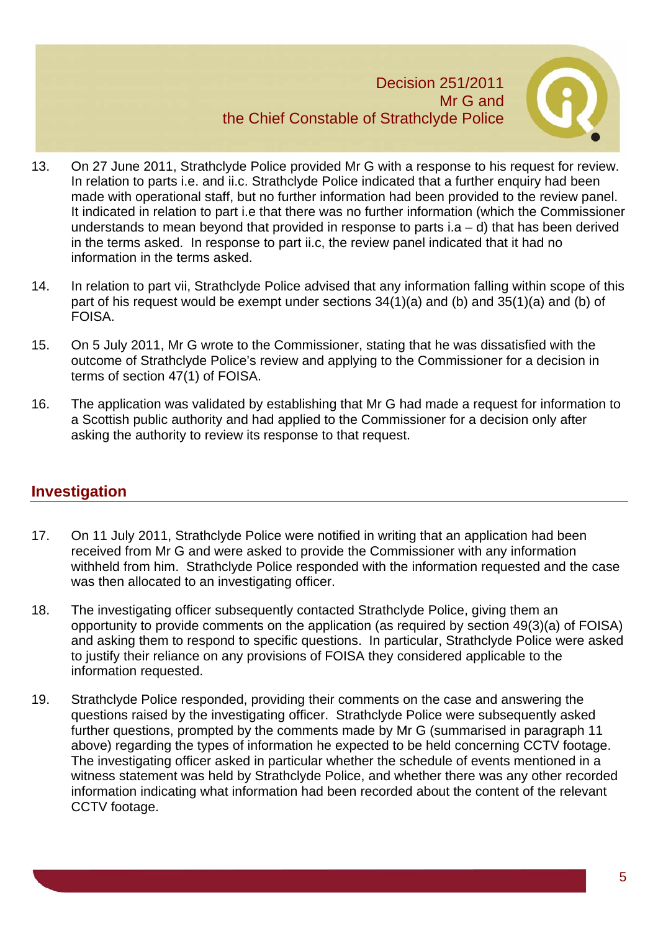

- 13. On 27 June 2011, Strathclyde Police provided Mr G with a response to his request for review. In relation to parts i.e. and ii.c. Strathclyde Police indicated that a further enquiry had been made with operational staff, but no further information had been provided to the review panel. It indicated in relation to part i.e that there was no further information (which the Commissioner understands to mean beyond that provided in response to parts i.a  $-$  d) that has been derived in the terms asked. In response to part ii.c, the review panel indicated that it had no information in the terms asked.
- 14. In relation to part vii, Strathclyde Police advised that any information falling within scope of this part of his request would be exempt under sections 34(1)(a) and (b) and 35(1)(a) and (b) of FOISA.
- 15. On 5 July 2011, Mr G wrote to the Commissioner, stating that he was dissatisfied with the outcome of Strathclyde Police's review and applying to the Commissioner for a decision in terms of section 47(1) of FOISA.
- 16. The application was validated by establishing that Mr G had made a request for information to a Scottish public authority and had applied to the Commissioner for a decision only after asking the authority to review its response to that request.

## **Investigation**

- 17. On 11 July 2011, Strathclyde Police were notified in writing that an application had been received from Mr G and were asked to provide the Commissioner with any information withheld from him. Strathclyde Police responded with the information requested and the case was then allocated to an investigating officer.
- 18. The investigating officer subsequently contacted Strathclyde Police, giving them an opportunity to provide comments on the application (as required by section 49(3)(a) of FOISA) and asking them to respond to specific questions. In particular, Strathclyde Police were asked to justify their reliance on any provisions of FOISA they considered applicable to the information requested.
- 19. Strathclyde Police responded, providing their comments on the case and answering the questions raised by the investigating officer. Strathclyde Police were subsequently asked further questions, prompted by the comments made by Mr G (summarised in paragraph 11 above) regarding the types of information he expected to be held concerning CCTV footage. The investigating officer asked in particular whether the schedule of events mentioned in a witness statement was held by Strathclyde Police, and whether there was any other recorded information indicating what information had been recorded about the content of the relevant CCTV footage.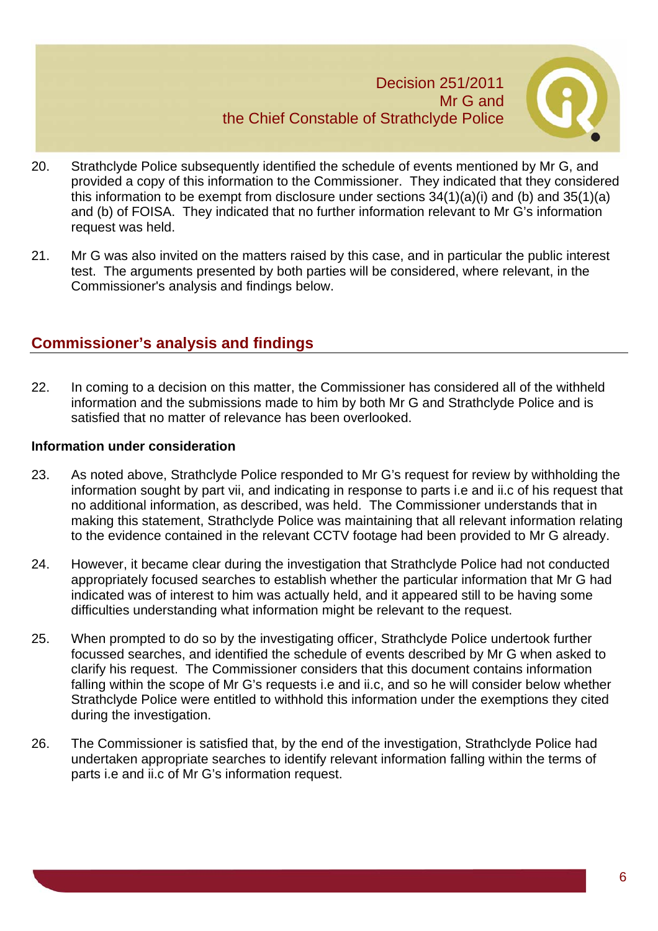

- 20. Strathclyde Police subsequently identified the schedule of events mentioned by Mr G, and provided a copy of this information to the Commissioner. They indicated that they considered this information to be exempt from disclosure under sections  $34(1)(a)(i)$  and  $(b)$  and  $35(1)(a)$ and (b) of FOISA. They indicated that no further information relevant to Mr G's information request was held.
- 21. Mr G was also invited on the matters raised by this case, and in particular the public interest test. The arguments presented by both parties will be considered, where relevant, in the Commissioner's analysis and findings below.

# **Commissioner's analysis and findings**

22. In coming to a decision on this matter, the Commissioner has considered all of the withheld information and the submissions made to him by both Mr G and Strathclyde Police and is satisfied that no matter of relevance has been overlooked.

#### **Information under consideration**

- 23. As noted above, Strathclyde Police responded to Mr G's request for review by withholding the information sought by part vii, and indicating in response to parts i.e and ii.c of his request that no additional information, as described, was held. The Commissioner understands that in making this statement, Strathclyde Police was maintaining that all relevant information relating to the evidence contained in the relevant CCTV footage had been provided to Mr G already.
- 24. However, it became clear during the investigation that Strathclyde Police had not conducted appropriately focused searches to establish whether the particular information that Mr G had indicated was of interest to him was actually held, and it appeared still to be having some difficulties understanding what information might be relevant to the request.
- 25. When prompted to do so by the investigating officer, Strathclyde Police undertook further focussed searches, and identified the schedule of events described by Mr G when asked to clarify his request. The Commissioner considers that this document contains information falling within the scope of Mr G's requests i.e and ii.c, and so he will consider below whether Strathclyde Police were entitled to withhold this information under the exemptions they cited during the investigation.
- 26. The Commissioner is satisfied that, by the end of the investigation, Strathclyde Police had undertaken appropriate searches to identify relevant information falling within the terms of parts i.e and ii.c of Mr G's information request.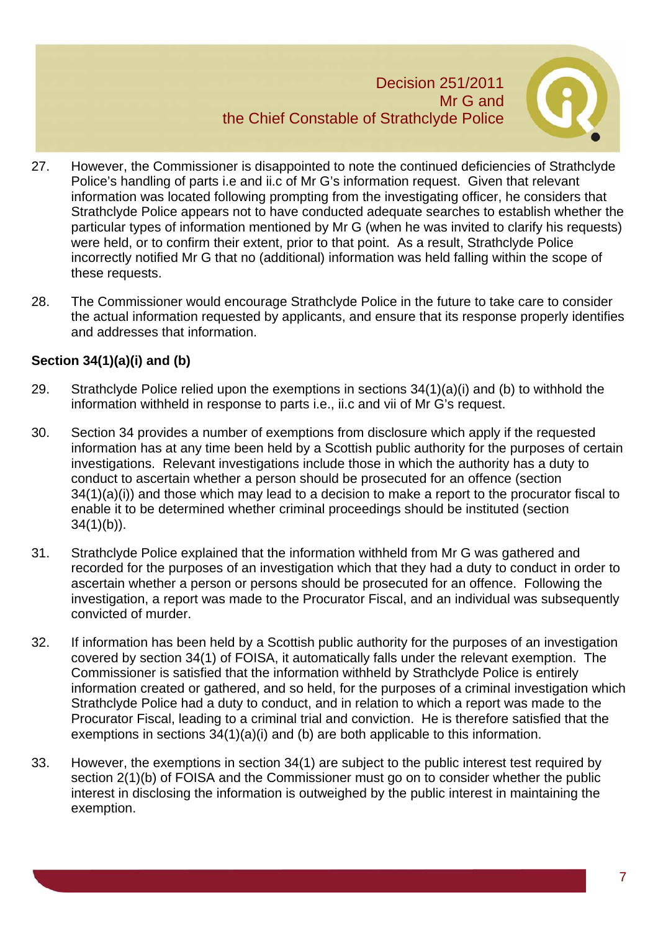

- 27. However, the Commissioner is disappointed to note the continued deficiencies of Strathclyde Police's handling of parts i.e and ii.c of Mr G's information request. Given that relevant information was located following prompting from the investigating officer, he considers that Strathclyde Police appears not to have conducted adequate searches to establish whether the particular types of information mentioned by Mr G (when he was invited to clarify his requests) were held, or to confirm their extent, prior to that point. As a result, Strathclyde Police incorrectly notified Mr G that no (additional) information was held falling within the scope of these requests.
- 28. The Commissioner would encourage Strathclyde Police in the future to take care to consider the actual information requested by applicants, and ensure that its response properly identifies and addresses that information.

### **Section 34(1)(a)(i) and (b)**

- 29. Strathclyde Police relied upon the exemptions in sections 34(1)(a)(i) and (b) to withhold the information withheld in response to parts i.e., ii.c and vii of Mr G's request.
- 30. Section 34 provides a number of exemptions from disclosure which apply if the requested information has at any time been held by a Scottish public authority for the purposes of certain investigations. Relevant investigations include those in which the authority has a duty to conduct to ascertain whether a person should be prosecuted for an offence (section 34(1)(a)(i)) and those which may lead to a decision to make a report to the procurator fiscal to enable it to be determined whether criminal proceedings should be instituted (section  $34(1)(b)$ .
- 31. Strathclyde Police explained that the information withheld from Mr G was gathered and recorded for the purposes of an investigation which that they had a duty to conduct in order to ascertain whether a person or persons should be prosecuted for an offence. Following the investigation, a report was made to the Procurator Fiscal, and an individual was subsequently convicted of murder.
- 32. If information has been held by a Scottish public authority for the purposes of an investigation covered by section 34(1) of FOISA, it automatically falls under the relevant exemption. The Commissioner is satisfied that the information withheld by Strathclyde Police is entirely information created or gathered, and so held, for the purposes of a criminal investigation which Strathclyde Police had a duty to conduct, and in relation to which a report was made to the Procurator Fiscal, leading to a criminal trial and conviction. He is therefore satisfied that the exemptions in sections 34(1)(a)(i) and (b) are both applicable to this information.
- 33. However, the exemptions in section 34(1) are subject to the public interest test required by section 2(1)(b) of FOISA and the Commissioner must go on to consider whether the public interest in disclosing the information is outweighed by the public interest in maintaining the exemption.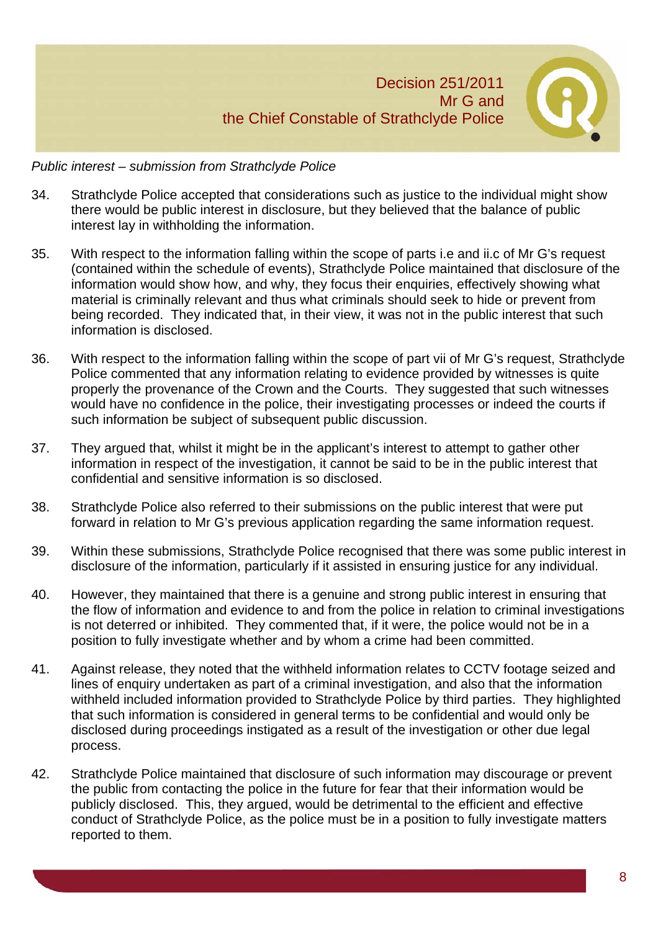

#### *Public interest – submission from Strathclyde Police*

- 34. Strathclyde Police accepted that considerations such as justice to the individual might show there would be public interest in disclosure, but they believed that the balance of public interest lay in withholding the information.
- 35. With respect to the information falling within the scope of parts i.e and ii.c of Mr G's request (contained within the schedule of events), Strathclyde Police maintained that disclosure of the information would show how, and why, they focus their enquiries, effectively showing what material is criminally relevant and thus what criminals should seek to hide or prevent from being recorded. They indicated that, in their view, it was not in the public interest that such information is disclosed.
- 36. With respect to the information falling within the scope of part vii of Mr G's request, Strathclyde Police commented that any information relating to evidence provided by witnesses is quite properly the provenance of the Crown and the Courts. They suggested that such witnesses would have no confidence in the police, their investigating processes or indeed the courts if such information be subject of subsequent public discussion.
- 37. They argued that, whilst it might be in the applicant's interest to attempt to gather other information in respect of the investigation, it cannot be said to be in the public interest that confidential and sensitive information is so disclosed.
- 38. Strathclyde Police also referred to their submissions on the public interest that were put forward in relation to Mr G's previous application regarding the same information request.
- 39. Within these submissions, Strathclyde Police recognised that there was some public interest in disclosure of the information, particularly if it assisted in ensuring justice for any individual.
- 40. However, they maintained that there is a genuine and strong public interest in ensuring that the flow of information and evidence to and from the police in relation to criminal investigations is not deterred or inhibited. They commented that, if it were, the police would not be in a position to fully investigate whether and by whom a crime had been committed.
- 41. Against release, they noted that the withheld information relates to CCTV footage seized and lines of enquiry undertaken as part of a criminal investigation, and also that the information withheld included information provided to Strathclyde Police by third parties. They highlighted that such information is considered in general terms to be confidential and would only be disclosed during proceedings instigated as a result of the investigation or other due legal process.
- 42. Strathclyde Police maintained that disclosure of such information may discourage or prevent the public from contacting the police in the future for fear that their information would be publicly disclosed. This, they argued, would be detrimental to the efficient and effective conduct of Strathclyde Police, as the police must be in a position to fully investigate matters reported to them.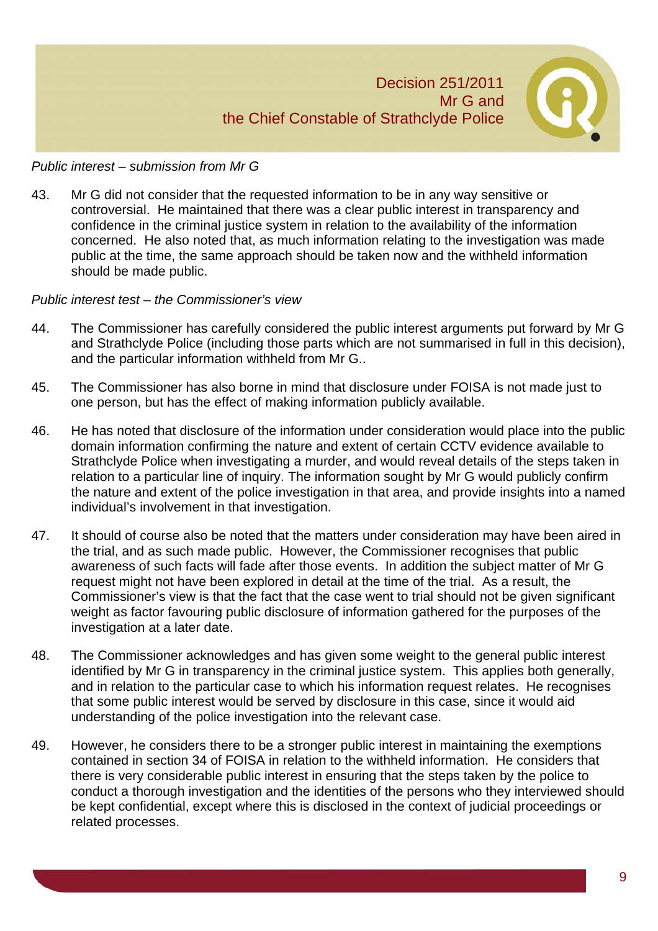

#### *Public interest – submission from Mr G*

43. Mr G did not consider that the requested information to be in any way sensitive or controversial. He maintained that there was a clear public interest in transparency and confidence in the criminal justice system in relation to the availability of the information concerned. He also noted that, as much information relating to the investigation was made public at the time, the same approach should be taken now and the withheld information should be made public.

#### *Public interest test – the Commissioner's view*

- 44. The Commissioner has carefully considered the public interest arguments put forward by Mr G and Strathclyde Police (including those parts which are not summarised in full in this decision), and the particular information withheld from Mr G..
- 45. The Commissioner has also borne in mind that disclosure under FOISA is not made just to one person, but has the effect of making information publicly available.
- 46. He has noted that disclosure of the information under consideration would place into the public domain information confirming the nature and extent of certain CCTV evidence available to Strathclyde Police when investigating a murder, and would reveal details of the steps taken in relation to a particular line of inquiry. The information sought by Mr G would publicly confirm the nature and extent of the police investigation in that area, and provide insights into a named individual's involvement in that investigation.
- 47. It should of course also be noted that the matters under consideration may have been aired in the trial, and as such made public. However, the Commissioner recognises that public awareness of such facts will fade after those events. In addition the subject matter of Mr G request might not have been explored in detail at the time of the trial. As a result, the Commissioner's view is that the fact that the case went to trial should not be given significant weight as factor favouring public disclosure of information gathered for the purposes of the investigation at a later date.
- 48. The Commissioner acknowledges and has given some weight to the general public interest identified by Mr G in transparency in the criminal justice system. This applies both generally, and in relation to the particular case to which his information request relates. He recognises that some public interest would be served by disclosure in this case, since it would aid understanding of the police investigation into the relevant case.
- 49. However, he considers there to be a stronger public interest in maintaining the exemptions contained in section 34 of FOISA in relation to the withheld information. He considers that there is very considerable public interest in ensuring that the steps taken by the police to conduct a thorough investigation and the identities of the persons who they interviewed should be kept confidential, except where this is disclosed in the context of judicial proceedings or related processes.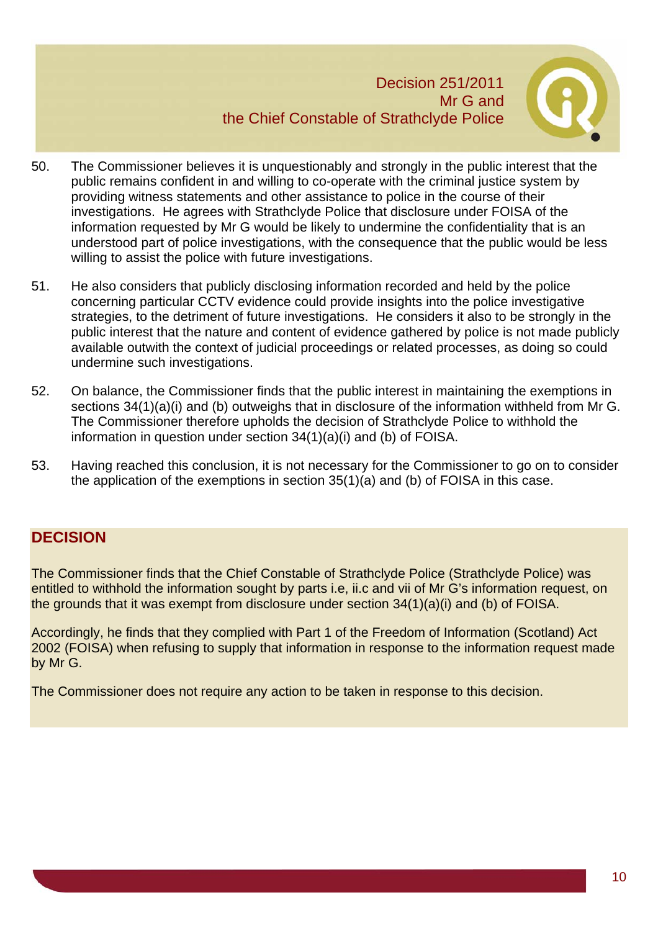

- 50. The Commissioner believes it is unquestionably and strongly in the public interest that the public remains confident in and willing to co-operate with the criminal justice system by providing witness statements and other assistance to police in the course of their investigations. He agrees with Strathclyde Police that disclosure under FOISA of the information requested by Mr G would be likely to undermine the confidentiality that is an understood part of police investigations, with the consequence that the public would be less willing to assist the police with future investigations.
- 51. He also considers that publicly disclosing information recorded and held by the police concerning particular CCTV evidence could provide insights into the police investigative strategies, to the detriment of future investigations. He considers it also to be strongly in the public interest that the nature and content of evidence gathered by police is not made publicly available outwith the context of judicial proceedings or related processes, as doing so could undermine such investigations.
- 52. On balance, the Commissioner finds that the public interest in maintaining the exemptions in sections 34(1)(a)(i) and (b) outweighs that in disclosure of the information withheld from Mr G. The Commissioner therefore upholds the decision of Strathclyde Police to withhold the information in question under section 34(1)(a)(i) and (b) of FOISA.
- 53. Having reached this conclusion, it is not necessary for the Commissioner to go on to consider the application of the exemptions in section 35(1)(a) and (b) of FOISA in this case.

# **DECISION**

The Commissioner finds that the Chief Constable of Strathclyde Police (Strathclyde Police) was entitled to withhold the information sought by parts i.e, ii.c and vii of Mr G's information request, on the grounds that it was exempt from disclosure under section 34(1)(a)(i) and (b) of FOISA.

Accordingly, he finds that they complied with Part 1 of the Freedom of Information (Scotland) Act 2002 (FOISA) when refusing to supply that information in response to the information request made by Mr G.

The Commissioner does not require any action to be taken in response to this decision.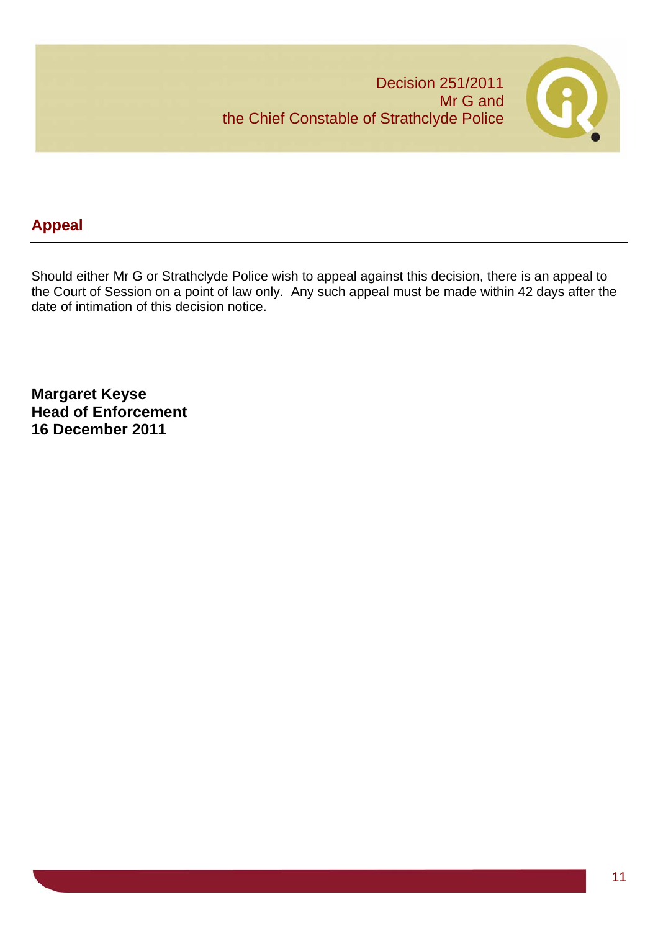

# **Appeal**

Should either Mr G or Strathclyde Police wish to appeal against this decision, there is an appeal to the Court of Session on a point of law only. Any such appeal must be made within 42 days after the date of intimation of this decision notice.

**Margaret Keyse Head of Enforcement 16 December 2011**